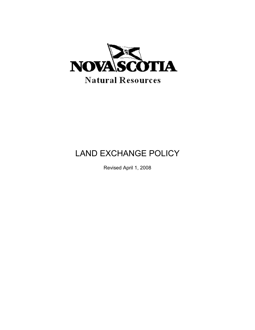

# LAND EXCHANGE POLICY

Revised April 1, 2008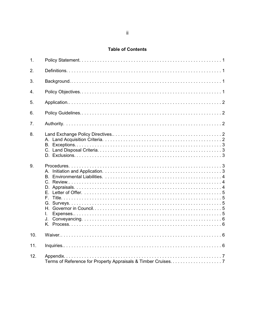## **Table of Contents**

| 1.               |          |  |
|------------------|----------|--|
| 2.               |          |  |
| 3.               |          |  |
| $\overline{4}$ . |          |  |
| 5.               |          |  |
| 6.               |          |  |
| 7 <sub>1</sub>   |          |  |
| 8.               |          |  |
| 9.               | L.<br>J. |  |
| 10.              |          |  |
| 11.              |          |  |
| 12.              |          |  |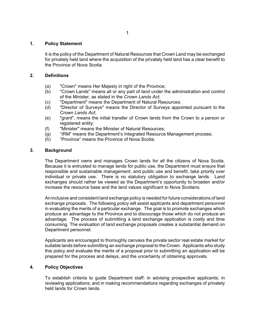## **1. Policy Statement**

It is the policy of the Department of Natural Resources that Crown Land may be exchanged for privately held land where the acquisition of the privately held land has a clear benefit to the Province of Nova Scotia.

#### **2. Definitions**

- (a) "Crown" means Her Majesty in right of the Province;
- (b) "Crown Lands" means all or any part of land under the administration and control of the Minister, as stated in the *Crown Lands Act*;
- (c) "Department" means the Department of Natural Resources;
- (d) "Director of Surveys" means the Director of Surveys appointed pursuant to the *Crown Lands Act*;
- (e) "grant", means the initial transfer of Crown lands from the Crown to a person or registered entity;
- (f) "Minister" means the Minister of Natural Resources;
- (g) "IRM" means the Department's Integrated Resource Management process;
- (h) "Province" means the Province of Nova Scotia.

#### **3. Background**

The Department owns and manages Crown lands for all the citizens of Nova Scotia. Because it is entrusted to manage lands for public use, the Department must ensure that responsible and sustainable management, and public use and benefit, take priority over individual or private use. There is no statutory obligation to exchange lands. Land exchanges should rather be viewed as the Department's opportunity to broaden and/or increase the resource base and the land values significant to Nova Scotians.

An inclusive and consistent land exchange policy is needed for future considerations of land exchange proposals. The following policy will assist applicants and department personnel in evaluating the merits of a particular exchange. The goal is to promote exchanges which produce an advantage to the Province and to discourage those which do not produce an advantage. The process of submitting a land exchange application is costly and time consuming. The evaluation of land exchange proposals creates a substantial demand on Department personnel.

Applicants are encouraged to thoroughly canvass the private sector real estate market for suitable lands before submitting an exchange proposal to the Crown. Applicants who study this policy and evaluate the merits of a proposal prior to submitting an application will be prepared for the process and delays, and the uncertainty of obtaining approvals.

## **4. Policy Objectives**

To establish criteria to guide Department staff: in advising prospective applicants; in reviewing applications; and in making recommendations regarding exchanges of privately held lands for Crown lands.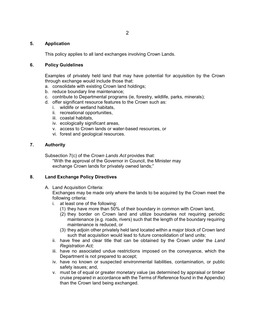## **5. Application**

This policy applies to all land exchanges involving Crown Lands.

#### **6. Policy Guidelines**

Examples of privately held land that may have potential for acquisition by the Crown through exchange would include those that:

- a. consolidate with existing Crown land holdings;
- b. reduce boundary line maintenance;
- c. contribute to Departmental programs (ie, forestry, wildlife, parks, minerals);
- d. offer significant resource features to the Crown such as:
	- i. wildlife or wetland habitats,
	- ii. recreational opportunities,
	- iii. coastal habitats,
	- iv. ecologically significant areas,
	- v. access to Crown lands or water-based resources, or
	- vi. forest and geological resources.

## **7. Authority**

Subsection 7(c) of the *Crown Lands Act* provides that:

"With the approval of the Governor in Council, the Minister may exchange Crown lands for privately owned lands;"

## **8. Land Exchange Policy Directives**

A. Land Acquisition Criteria:

Exchanges may be made only where the lands to be acquired by the Crown meet the following criteria:

- i. at least one of the following:
	- (1) they have more than 50% of their boundary in common with Crown land,
	- (2) they border on Crown land and utilize boundaries not requiring periodic maintenance (e.g. roads, rivers) such that the length of the boundary requiring maintenance is reduced, or
	- (3) they adjoin other privately held land located within a major block of Crown land such that acquisition would lead to future consolidation of land units;
- ii. have free and clear title that can be obtained by the Crown under the *Land Registration Act;*
- iii. have no associated undue restrictions imposed on the conveyance, which the Department is not prepared to accept;
- iv. have no known or suspected environmental liabilities, contamination, or public safety issues; and,
- v. must be of equal or greater monetary value (as determined by appraisal or timber cruise prepared in accordance with the Terms of Reference found in the Appendix) than the Crown land being exchanged.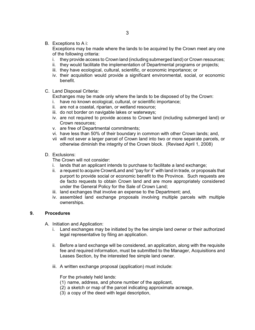B. Exceptions to A i:

Exceptions may be made where the lands to be acquired by the Crown meet any one of the following criteria:

- i. they provide access to Crown land (including submerged land) or Crown resources;
- ii. they would facilitate the implementation of Departmental programs or projects;
- iii. they have ecological, cultural, scientific, or economic importance; or
- iv. their acquisition would provide a significant environmental, social, or economic benefit.
- C. Land Disposal Criteria:

Exchanges may be made only where the lands to be disposed of by the Crown:

- i. have no known ecological, cultural, or scientific importance;
- ii. are not a coastal, riparian, or wetland resource;
- iii. do not border on navigable lakes or waterways;
- iv. are not required to provide access to Crown land (including submerged land) or Crown resources;
- v. are free of Departmental commitments;
- vi. have less than 50% of their boundary in common with other Crown lands; and,
- vii will not sever a larger parcel of Crown land into two or more separate parcels, or otherwise diminish the integrity of the Crown block. (Revised April 1, 2008)
- D. Exclusions:

The Crown will not consider:

- i. lands that an applicant intends to purchase to facilitate a land exchange;
- ii. a request to acquire CrownlLand and "pay for it" with land in trade, or proposals that purport to provide social or economic benefit to the Province. Such requests are de facto requests to obtain Crown land and are more appropriately considered under the General Policy for the Sale of Crown Land;
- iii. land exchanges that involve an expense to the Department; and,
- iv. assembled land exchange proposals involving multiple parcels with multiple ownerships.

## **9. Procedures**

A. Initiation and Application:

- i. Land exchanges may be initiated by the fee simple land owner or their authorized legal representative by filing an application.
- ii. Before a land exchange will be considered, an application, along with the requisite fee and required information, must be submitted to the Manager, Acquisitions and Leases Section, by the interested fee simple land owner.
- iii. A written exchange proposal (application) must include:

For the privately held lands:

- (1) name, address, and phone number of the applicant,
- (2) a sketch or map of the parcel indicating approximate acreage,
- (3) a copy of the deed with legal description,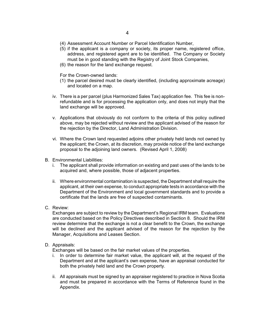- (4) Assessment Account Number or Parcel Identification Number,
- (5) if the applicant is a company or society, its proper name, registered office, address, and registered agent are to be identified. The Company or Society must be in good standing with the Registry of Joint Stock Companies,
- (6) the reason for the land exchange request.

For the Crown-owned lands:

- (1) the parcel desired must be clearly identified, (including approximate acreage) and located on a map.
- iv. There is a per parcel (plus Harmonized Sales Tax) application fee. This fee is nonrefundable and is for processing the application only, and does not imply that the land exchange will be approved.
- v. Applications that obviously do not conform to the criteria of this policy outlined above, may be rejected without review and the applicant advised of the reason for the rejection by the Director, Land Administration Division.
- vi. Where the Crown land requested adjoins other privately held lands not owned by the applicant; the Crown, at its discretion, may provide notice of the land exchange proposal to the adjoining land owners. (Revised April 1, 2008)
- B. Environmental Liabilities:
	- i. The applicant shall provide information on existing and past uses of the lands to be acquired and, where possible, those of adjacent properties.
	- ii. Where environmental contamination is suspected, the Department shall require the applicant, at their own expense, to conduct appropriate tests in accordance with the Department of the Environment and local government standards and to provide a certificate that the lands are free of suspected contaminants.
- C. Review:

Exchanges are subject to review by the Department's Regional IRM team. Evaluations are conducted based on the Policy Directives described in Section 8. Should the IRM review determine that the exchange is not a clear benefit to the Crown, the exchange will be declined and the applicant advised of the reason for the rejection by the Manager, Acquisitions and Leases Section.

D. Appraisals:

Exchanges will be based on the fair market values of the properties.

- i. In order to determine fair market value, the applicant will, at the request of the Department and at the applicant's own expense, have an appraisal conducted for both the privately held land and the Crown property.
- ii. All appraisals must be signed by an appraiser registered to practice in Nova Scotia and must be prepared in accordance with the Terms of Reference found in the Appendix.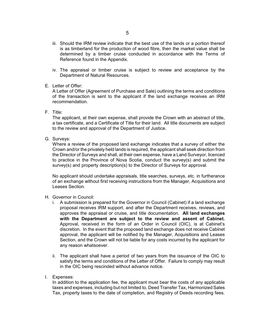- iii. Should the IRM review indicate that the best use of the lands or a portion thereof is as timberland for the production of wood fibre, then the market value shall be determined by a timber cruise conducted in accordance with the Terms of Reference found in the Appendix.
- iv. The appraisal or timber cruise is subject to review and acceptance by the Department of Natural Resources.
- E. Letter of Offer:

A Letter of Offer (Agreement of Purchase and Sale) outlining the terms and conditions of the transaction is sent to the applicant if the land exchange receives an IRM recommendation.

F. Title:

The applicant, at their own expense, shall provide the Crown with an abstract of title, a tax certificate, and a Certificate of Title for their land. All title documents are subject to the review and approval of the Department of Justice.

G. Surveys:

Where a review of the proposed land exchange indicates that a survey of either the Crown and/or the privately held lands is required, the applicant shall seek direction from the Director of Surveys and shall, at their own expense, have a Land Surveyor, licenced to practice in the Province of Nova Scotia, conduct the survey(s) and submit the survey(s) and property description(s) to the Director of Surveys for approval.

No applicant should undertake appraisals, title searches, surveys, etc. in furtherance of an exchange without first receiving instructions from the Manager, Acquisitions and Leases Section.

- H. Governor in Council:
	- i. A submission is prepared for the Governor in Council (Cabinet) if a land exchange proposal receives IRM support, and after the Department receives, reviews, and approves the appraisal or cruise, and title documentation. **All land exchanges with the Department are subject to the review and assent of Cabinet.** Approval, received in the form of an Order in Council (OIC), is at Cabinet's discretion. In the event that the proposed land exchange does not receive Cabinet approval, the applicant will be notified by the Manager, Acquisitions and Leases Section, and the Crown will not be liable for any costs incurred by the applicant for any reason whatsoever.
	- ii. The applicant shall have a period of two years from the issuance of the OIC to satisfy the terms and conditions of the Letter of Offer. Failure to comply may result in the OIC being rescinded without advance notice.
- I. Expenses:

In addition to the application fee, the applicant must bear the costs of any applicable taxes and expenses, including but not limited to, Deed Transfer Tax, Harmonized Sales Tax, property taxes to the date of completion, and Registry of Deeds recording fees.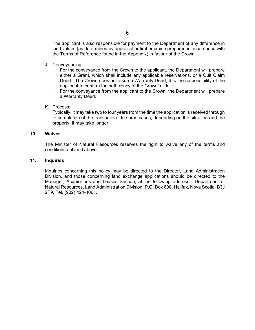The applicant is also responsible for payment to the Department of any difference in land values (as determined by appraisal or timber cruise prepared in accordance with the Terms of Reference found in the Appendix) in favour of the Crown.

- J. Conveyancing:
	- i. For the conveyance from the Crown to the applicant, the Department will prepare either a Grant, which shall include any applicable reservations, or a Quit Claim Deed. The Crown does not issue a Warranty Deed; it is the responsibility of the applicant to confirm the sufficiency of the Crown's title.
	- ii. For the conveyance from the applicant to the Crown, the Department will prepare a Warranty Deed.
- K. Process:

Typically, it may take two to four years from the time the application is received through to completion of the transaction. In some cases, depending on the situation and the property, it may take longer.

#### **10. Waiver**

The Minister of Natural Resources reserves the right to waive any of the terms and conditions outlined above.

#### **11. Inquiries**

Inquiries concerning this policy may be directed to the Director, Land Administration Division, and those concerning land exchange applications should be directed to the Manager, Acquisitions and Leases Section, at the following address: Department of Natural Resources, Land Administration Division, P.O. Box 698, Halifax, Nova Scotia, B3J 2T9, Tel. (902) 424-4061.